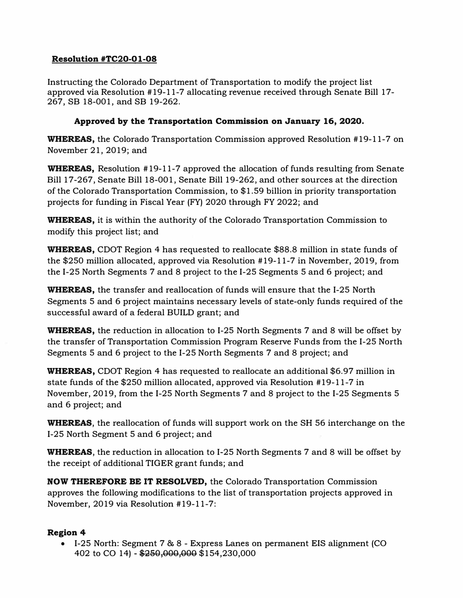## Resolution #TC20-01-08

Instructing the Colorado Department of Transportation to modify the project list approved via Resolution # 19-11-7 allocating revenue received through Senate Bill 17- 267, SB 18-001, and SB 19-262.

## Approved by the Transportation Commission on January 16, 2020.

WHEREAS, the Colorado Transportation Commission approved Resolution #19-11-7 on November 21, 2019; and

**WHEREAS,** Resolution #19-11-7 approved the allocation of funds resulting from Senate Bill 17-267, Senate Bill 18-001, Senate Bill 19-262, and other sources at the direction of the Colorado Transportation Commission, to \$1.59 billion in priority transportation projects for funding in Fiscal Year (FY) 2020 through FY 2022; and

WHEREAS, it is within the authority of the Colorado Transportation Commission to modify this project list; and

WHEREAS, COOT Region 4 has requested to reallocate \$88.8 million in state funds of the \$250 million allocated, approved via Resolution #19-11-7 in November, 2019, from the 1-25 North Segments 7 and 8 project to the 1-25 Segments 5 and 6 project; and

WHEREAS, the transfer and reallocation of funds will ensure that the 1-25 North Segments 5 and 6 project maintains necessary levels of state-only funds required of the successful award of a federal BUILD grant; and

WHEREAS, the reduction in allocation to I-25 North Segments 7 and 8 will be offset by the transfer of Transportation Commission Program Reserve Funds from the 1-25 North Segments 5 and 6 project to the 1-25 North Segments 7 and 8 project; and

WHEREAS, CDOT Region 4 has requested to reallocate an additional \$6.97 million in state funds of the \$250 million allocated, approved via Resolution #19-11-7 in November, 2019, from the 1-25 North Segments 7 and 8 project to the 1-25 Segments 5 and 6 project; and

WHEREAS, the reallocation of funds will support work on the SH 56 interchange on the 1-25 North Segment 5 and 6 project; and

**WHEREAS**, the reduction in allocation to I-25 North Segments 7 and 8 will be offset by the receipt of additional TIGER grant funds; and

NOW THEREFORE BE IT RESOLVED, the Colorado Transportation Commission approves the following modifications to the list of transportation projects approved in November, 2019 via Resolution #19-11-7:

## Region 4

• 1-25 North: Segment 7 & 8 - Express Lanes on permanent EIS alignment (CO 402 to CO 14) - \$250,000,000 \$154,230,000